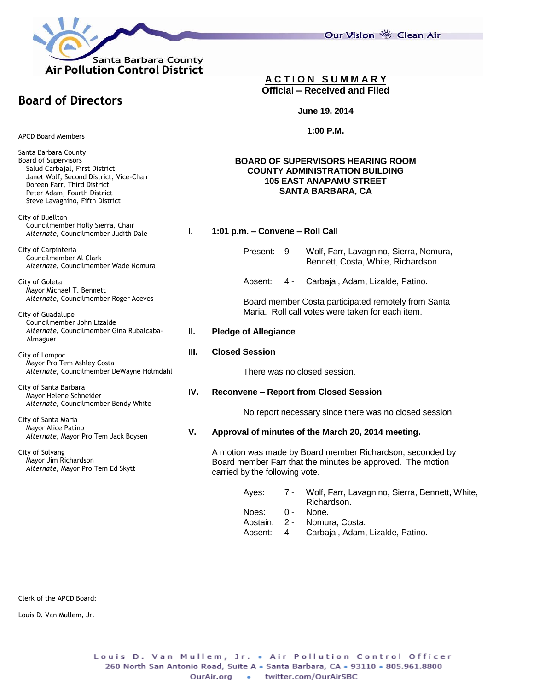

Our Vision 卷 Clean Air

## **A C T I O N S U M M A R Y Official – Received and Filed**

**June 19, 2014**

**1:00 P.M.**

### **BOARD OF SUPERVISORS HEARING ROOM COUNTY ADMINISTRATION BUILDING 105 EAST ANAPAMU STREET SANTA BARBARA, CA**

**I. 1:01 p.m. – Convene – Roll Call**

- Present: 9 Wolf, Farr, Lavagnino, Sierra, Nomura, Bennett, Costa, White, Richardson.
- Absent: 4 Carbajal, Adam, Lizalde, Patino.

Board member Costa participated remotely from Santa Maria. Roll call votes were taken for each item.

### **II. Pledge of Allegiance**

### **III. Closed Session**

There was no closed session.

### **IV. Reconvene – Report from Closed Session**

No report necessary since there was no closed session.

### **V. Approval of minutes of the March 20, 2014 meeting.**

A motion was made by Board member Richardson, seconded by Board member Farr that the minutes be approved. The motion carried by the following vote.

- Ayes: 7 Wolf, Farr, Lavagnino, Sierra, Bennett, White, Richardson.
- Noes: 0 None.
- Abstain: 2 Nomura, Costa.
- Absent: 4 Carbajal, Adam, Lizalde, Patino.

Clerk of the APCD Board:

Louis D. Van Mullem, Jr.

APCD Board Members

**Board of Directors**

Santa Barbara County Board of Supervisors Salud Carbajal, First District Janet Wolf, Second District, Vice-Chair Doreen Farr, Third District Peter Adam, Fourth District Steve Lavagnino, Fifth District

City of Buellton Councilmember Holly Sierra, Chair *Alternate*, Councilmember Judith Dale

City of Carpinteria Councilmember Al Clark *Alternate*, Councilmember Wade Nomura

City of Goleta Mayor Michael T. Bennett *Alternate*, Councilmember Roger Aceves

City of Guadalupe Councilmember John Lizalde *Alternate*, Councilmember Gina Rubalcaba- Almaguer

City of Lompoc Mayor Pro Tem Ashley Costa *Alternate*, Councilmember DeWayne Holmdahl

City of Santa Barbara Mayor Helene Schneider *Alternate*, Councilmember Bendy White

City of Santa Maria Mayor Alice Patino *Alternate*, Mayor Pro Tem Jack Boysen

City of Solvang Mayor Jim Richardson *Alternate*, Mayor Pro Tem Ed Skytt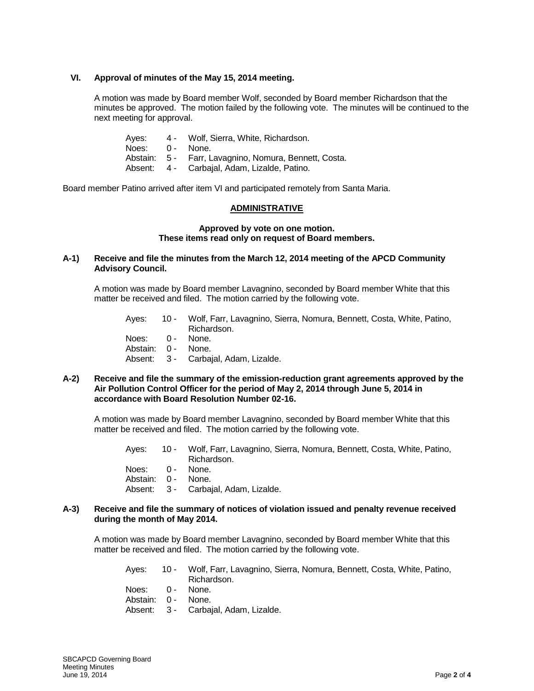### **VI. Approval of minutes of the May 15, 2014 meeting.**

A motion was made by Board member Wolf, seconded by Board member Richardson that the minutes be approved. The motion failed by the following vote. The minutes will be continued to the next meeting for approval.

| Abstain: 5 - Farr, Lavagnino, Nomura, Bennett, Costa. |
|-------------------------------------------------------|
|                                                       |
|                                                       |

Board member Patino arrived after item VI and participated remotely from Santa Maria.

### **ADMINISTRATIVE**

### **Approved by vote on one motion. These items read only on request of Board members.**

# **A-1) Receive and file the minutes from the March 12, 2014 meeting of the APCD Community Advisory Council.**

A motion was made by Board member Lavagnino, seconded by Board member White that this matter be received and filed. The motion carried by the following vote.

| Aves:              | 10 - Wolf, Farr, Lavagnino, Sierra, Nomura, Bennett, Costa, White, Patino, |
|--------------------|----------------------------------------------------------------------------|
|                    | Richardson.                                                                |
| Noes: 0 - None.    |                                                                            |
| Abstain: 0 - None. |                                                                            |
|                    | Absent: 3 - Carbaial, Adam, Lizalde.                                       |

#### **A-2) Receive and file the summary of the emission-reduction grant agreements approved by the Air Pollution Control Officer for the period of May 2, 2014 through June 5, 2014 in accordance with Board Resolution Number 02-16.**

A motion was made by Board member Lavagnino, seconded by Board member White that this matter be received and filed. The motion carried by the following vote.

| Aves:              | 10 - Wolf, Farr, Lavagnino, Sierra, Nomura, Bennett, Costa, White, Patino, |
|--------------------|----------------------------------------------------------------------------|
|                    | Richardson.                                                                |
| Noes: 0 - None.    |                                                                            |
| Abstain: 0 - None. |                                                                            |
|                    | Absent: 3 - Carbajal, Adam, Lizalde.                                       |

#### **A-3) Receive and file the summary of notices of violation issued and penalty revenue received during the month of May 2014.**

A motion was made by Board member Lavagnino, seconded by Board member White that this matter be received and filed. The motion carried by the following vote.

| Aves: | 10 - Wolf, Farr, Lavagnino, Sierra, Nomura, Bennett, Costa, White, Patino, |
|-------|----------------------------------------------------------------------------|
|       | Richardson.                                                                |
|       |                                                                            |

- Noes: 0 None.
- Abstain: 0 None. Absent: 3 - Carbajal, Adam, Lizalde.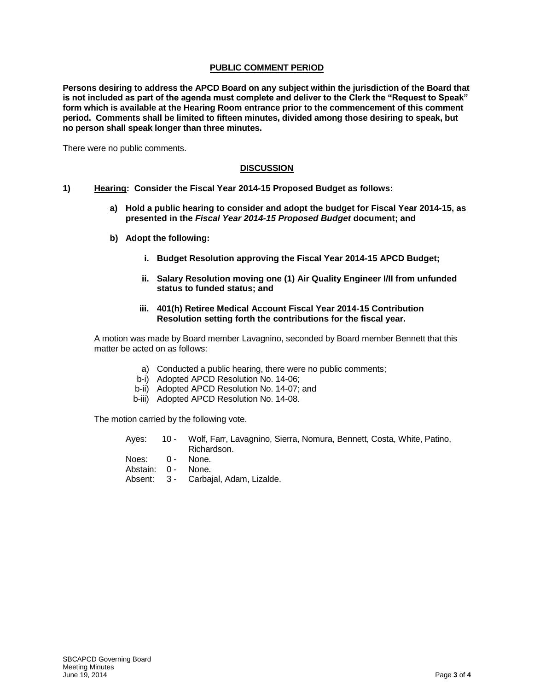# **PUBLIC COMMENT PERIOD**

**Persons desiring to address the APCD Board on any subject within the jurisdiction of the Board that is not included as part of the agenda must complete and deliver to the Clerk the "Request to Speak" form which is available at the Hearing Room entrance prior to the commencement of this comment period. Comments shall be limited to fifteen minutes, divided among those desiring to speak, but no person shall speak longer than three minutes.**

There were no public comments.

# **DISCUSSION**

- **1) Hearing: Consider the Fiscal Year 2014-15 Proposed Budget as follows:** 
	- **a) Hold a public hearing to consider and adopt the budget for Fiscal Year 2014-15, as presented in the** *Fiscal Year 2014-15 Proposed Budget* **document; and**
	- **b) Adopt the following:**
		- **i. Budget Resolution approving the Fiscal Year 2014-15 APCD Budget;**
		- **ii. Salary Resolution moving one (1) Air Quality Engineer I/II from unfunded status to funded status; and**
		- **iii. 401(h) Retiree Medical Account Fiscal Year 2014-15 Contribution Resolution setting forth the contributions for the fiscal year.**

A motion was made by Board member Lavagnino, seconded by Board member Bennett that this matter be acted on as follows:

- a) Conducted a public hearing, there were no public comments;
- b-i) Adopted APCD Resolution No. 14-06;
- b-ii) Adopted APCD Resolution No. 14-07; and
- b-iii) Adopted APCD Resolution No. 14-08.

The motion carried by the following vote.

|                    | Ayes: 10 - Wolf, Farr, Lavagnino, Sierra, Nomura, Bennett, Costa, White, Patino, |
|--------------------|----------------------------------------------------------------------------------|
|                    | Richardson.                                                                      |
| Noes: 0 - None.    |                                                                                  |
| Abstain: 0 - None. |                                                                                  |
|                    | Absent: 3 - Carbaial, Adam, Lizalde.                                             |